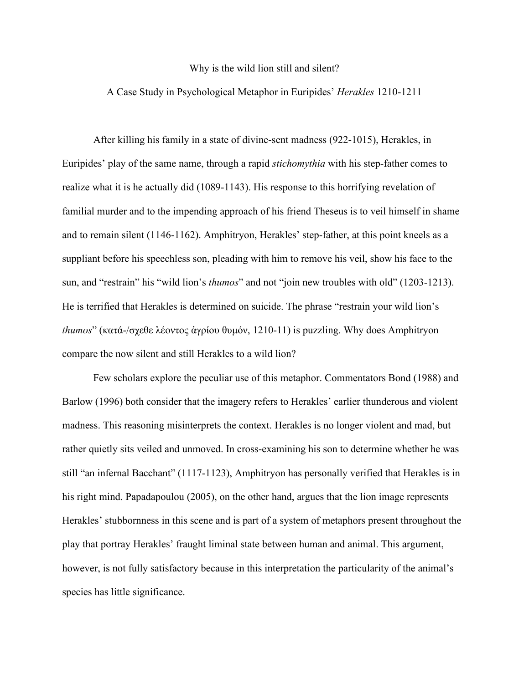## Why is the wild lion still and silent?

## A Case Study in Psychological Metaphor in Euripides' *Herakles* 1210-1211

After killing his family in a state of divine-sent madness (922-1015), Herakles, in Euripides' play of the same name, through a rapid *stichomythia* with his step-father comes to realize what it is he actually did (1089-1143). His response to this horrifying revelation of familial murder and to the impending approach of his friend Theseus is to veil himself in shame and to remain silent (1146-1162). Amphitryon, Herakles' step-father, at this point kneels as a suppliant before his speechless son, pleading with him to remove his veil, show his face to the sun, and "restrain" his "wild lion's *thumos*" and not "join new troubles with old" (1203-1213). He is terrified that Herakles is determined on suicide. The phrase "restrain your wild lion's *thumos*" (κατά-/σχεθε λέοντος ἀγρίου θυμόν, 1210-11) is puzzling. Why does Amphitryon compare the now silent and still Herakles to a wild lion?

Few scholars explore the peculiar use of this metaphor. Commentators Bond (1988) and Barlow (1996) both consider that the imagery refers to Herakles' earlier thunderous and violent madness. This reasoning misinterprets the context. Herakles is no longer violent and mad, but rather quietly sits veiled and unmoved. In cross-examining his son to determine whether he was still "an infernal Bacchant" (1117-1123), Amphitryon has personally verified that Herakles is in his right mind. Papadapoulou (2005), on the other hand, argues that the lion image represents Herakles' stubbornness in this scene and is part of a system of metaphors present throughout the play that portray Herakles' fraught liminal state between human and animal. This argument, however, is not fully satisfactory because in this interpretation the particularity of the animal's species has little significance.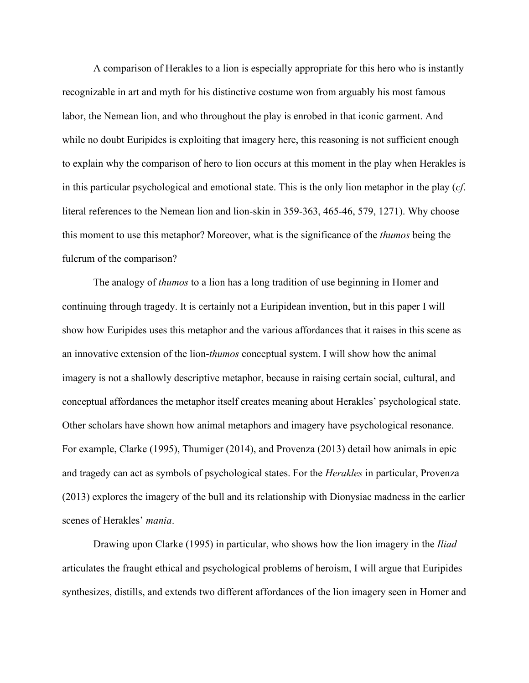A comparison of Herakles to a lion is especially appropriate for this hero who is instantly recognizable in art and myth for his distinctive costume won from arguably his most famous labor, the Nemean lion, and who throughout the play is enrobed in that iconic garment. And while no doubt Euripides is exploiting that imagery here, this reasoning is not sufficient enough to explain why the comparison of hero to lion occurs at this moment in the play when Herakles is in this particular psychological and emotional state. This is the only lion metaphor in the play (*cf*. literal references to the Nemean lion and lion-skin in 359-363, 465-46, 579, 1271). Why choose this moment to use this metaphor? Moreover, what is the significance of the *thumos* being the fulcrum of the comparison?

The analogy of *thumos* to a lion has a long tradition of use beginning in Homer and continuing through tragedy. It is certainly not a Euripidean invention, but in this paper I will show how Euripides uses this metaphor and the various affordances that it raises in this scene as an innovative extension of the lion-*thumos* conceptual system. I will show how the animal imagery is not a shallowly descriptive metaphor, because in raising certain social, cultural, and conceptual affordances the metaphor itself creates meaning about Herakles' psychological state. Other scholars have shown how animal metaphors and imagery have psychological resonance. For example, Clarke (1995), Thumiger (2014), and Provenza (2013) detail how animals in epic and tragedy can act as symbols of psychological states. For the *Herakles* in particular, Provenza (2013) explores the imagery of the bull and its relationship with Dionysiac madness in the earlier scenes of Herakles' *mania*.

Drawing upon Clarke (1995) in particular, who shows how the lion imagery in the *Iliad* articulates the fraught ethical and psychological problems of heroism, I will argue that Euripides synthesizes, distills, and extends two different affordances of the lion imagery seen in Homer and